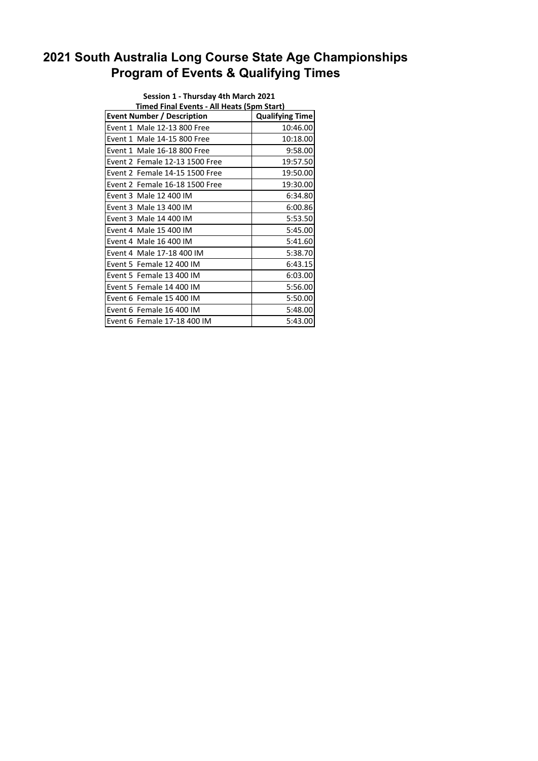## **2021 South Australia Long Course State Age Championships Program of Events & Qualifying Times**

| Session 1 - Thursday 4th March 2021        |                                |                        |  |  |
|--------------------------------------------|--------------------------------|------------------------|--|--|
| Timed Final Events - All Heats (5pm Start) |                                |                        |  |  |
| <b>Event Number / Description</b>          |                                | <b>Qualifying Time</b> |  |  |
|                                            | Event 1 Male 12-13 800 Free    | 10:46.00               |  |  |
|                                            | Event 1 Male 14-15 800 Free    | 10:18.00               |  |  |
|                                            | Event 1 Male 16-18 800 Free    | 9:58.00                |  |  |
|                                            | Event 2 Female 12-13 1500 Free | 19:57.50               |  |  |
|                                            | Event 2 Female 14-15 1500 Free | 19:50.00               |  |  |
|                                            | Event 2 Female 16-18 1500 Free | 19:30.00               |  |  |
|                                            | Event 3 Male 12 400 IM         | 6:34.80                |  |  |
|                                            | Event 3 Male 13 400 IM         | 6:00.86                |  |  |
|                                            | Event 3 Male 14 400 IM         | 5:53.50                |  |  |
|                                            | Event 4 Male 15 400 IM         | 5:45.00                |  |  |
|                                            | Event 4 Male 16 400 IM         | 5:41.60                |  |  |
|                                            | Event 4 Male 17-18 400 IM      | 5:38.70                |  |  |
|                                            | Event 5 Female 12 400 IM       | 6:43.15                |  |  |
|                                            | Event 5 Female 13 400 IM       | 6:03.00                |  |  |
|                                            | Event 5 Female 14 400 IM       | 5:56.00                |  |  |
|                                            | Event 6 Female 15 400 IM       | 5:50.00                |  |  |
|                                            | Event 6 Female 16 400 IM       | 5:48.00                |  |  |
|                                            | Event 6 Female 17-18 400 IM    | 5:43.00                |  |  |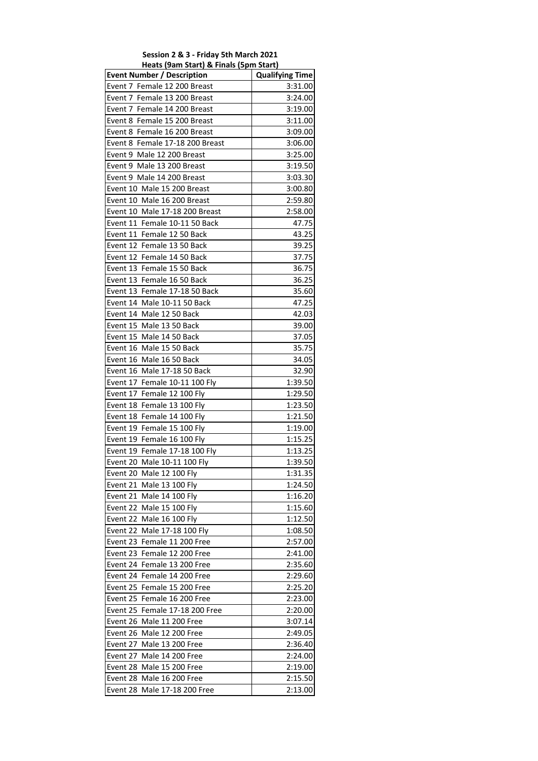## **Session 2 & 3 ‐ Friday 5th March 2021 Heats (9am Start) & Finals (5pm Start)**

| <u>cats (sain start) &amp; Finals (spin sta</u><br><b>Event Number / Description</b> | <b>Qualifying Time</b> |
|--------------------------------------------------------------------------------------|------------------------|
| Event 7 Female 12 200 Breast                                                         | 3:31.00                |
| Event 7 Female 13 200 Breast                                                         | 3:24.00                |
| Event 7 Female 14 200 Breast                                                         | 3:19.00                |
| Event 8 Female 15 200 Breast                                                         | 3:11.00                |
| Event 8 Female 16 200 Breast                                                         | 3:09.00                |
| Event 8 Female 17-18 200 Breast                                                      | 3:06.00                |
| Event 9 Male 12 200 Breast                                                           | 3:25.00                |
| Event 9 Male 13 200 Breast                                                           | 3:19.50                |
| Event 9 Male 14 200 Breast                                                           | 3:03.30                |
| Event 10 Male 15 200 Breast                                                          | 3:00.80                |
| Event 10 Male 16 200 Breast                                                          | 2:59.80                |
| Event 10 Male 17-18 200 Breast                                                       | 2:58.00                |
| Event 11 Female 10-11 50 Back                                                        | 47.75                  |
| Event 11 Female 12 50 Back                                                           | 43.25                  |
| Event 12 Female 13 50 Back                                                           | 39.25                  |
| Event 12 Female 14 50 Back                                                           | 37.75                  |
| Event 13 Female 15 50 Back                                                           | 36.75                  |
| Event 13 Female 16 50 Back                                                           | 36.25                  |
| Event 13 Female 17-18 50 Back                                                        | 35.60                  |
| Event 14 Male 10-11 50 Back                                                          | 47.25                  |
| Event 14 Male 12 50 Back                                                             | 42.03                  |
| Event 15 Male 13 50 Back                                                             | 39.00                  |
| Event 15 Male 14 50 Back                                                             | 37.05                  |
| Event 16 Male 15 50 Back                                                             | 35.75                  |
| Event 16 Male 16 50 Back                                                             | 34.05                  |
| Event 16 Male 17-18 50 Back                                                          | 32.90                  |
| Event 17 Female 10-11 100 Fly                                                        | 1:39.50                |
| Event 17 Female 12 100 Fly                                                           | 1:29.50                |
| Event 18 Female 13 100 Fly                                                           | 1:23.50                |
| Event 18 Female 14 100 Fly                                                           | 1:21.50                |
| Event 19 Female 15 100 Fly                                                           | 1:19.00                |
| Event 19 Female 16 100 Fly                                                           | 1:15.25                |
| Event 19 Female 17-18 100 Fly                                                        | 1:13.25                |
| Event 20 Male 10-11 100 Fly                                                          | 1:39.50                |
| Event 20 Male 12 100 Fly                                                             | 1:31.35                |
| Event 21 Male 13 100 Fly                                                             | 1:24.50                |
| Event 21 Male 14 100 Fly                                                             | 1:16.20                |
| Event 22 Male 15 100 Fly                                                             | 1:15.60                |
| Event 22 Male 16 100 Fly                                                             | 1:12.50                |
| Event 22 Male 17-18 100 Fly                                                          | 1:08.50                |
| Event 23 Female 11 200 Free                                                          | 2:57.00                |
| Event 23 Female 12 200 Free                                                          | 2:41.00                |
| Event 24 Female 13 200 Free                                                          | 2:35.60                |
| Female 14 200 Free<br>Event 24                                                       | 2:29.60                |
| Female 15 200 Free<br>Event 25                                                       | 2:25.20                |
| Event 25 Female 16 200 Free                                                          | 2:23.00                |
| Event 25 Female 17-18 200 Free                                                       | 2:20.00                |
| Event 26 Male 11 200 Free                                                            | 3:07.14                |
| Event 26 Male 12 200 Free                                                            | 2:49.05                |
| Event 27 Male 13 200 Free                                                            | 2:36.40                |
| Event 27 Male 14 200 Free                                                            | 2:24.00                |
| Event 28 Male 15 200 Free                                                            | 2:19.00                |
| Event 28 Male 16 200 Free                                                            | 2:15.50                |
| Event 28 Male 17-18 200 Free                                                         | 2:13.00                |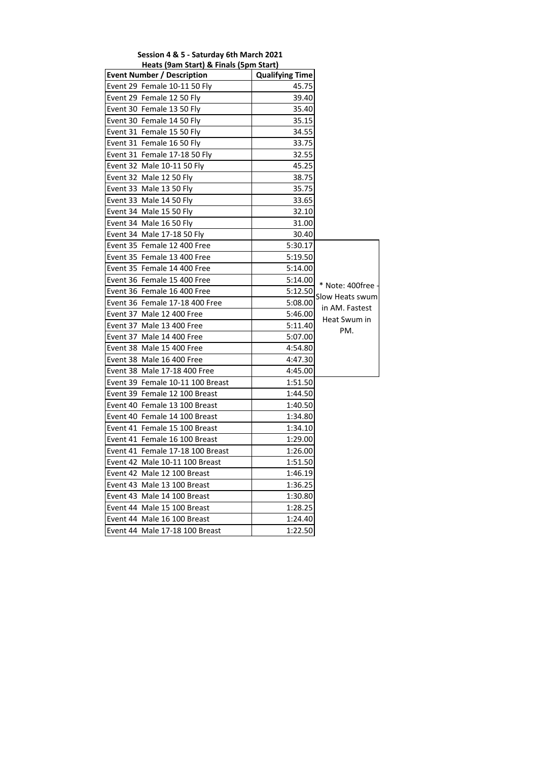| .<br>יייקטן טושויי יש<br><b>Event Number / Description</b> | <b>Qualifying Time</b> |                   |
|------------------------------------------------------------|------------------------|-------------------|
| Event 29 Female 10-11 50 Fly                               | 45.75                  |                   |
| Event 29 Female 12 50 Fly                                  | 39.40                  |                   |
| Event 30 Female 13 50 Fly                                  | 35.40                  |                   |
| Event 30 Female 14 50 Fly                                  | 35.15                  |                   |
| Event 31 Female 15 50 Fly                                  | 34.55                  |                   |
| Event 31 Female 16 50 Fly                                  | 33.75                  |                   |
| Event 31 Female 17-18 50 Fly                               | 32.55                  |                   |
| Event 32 Male 10-11 50 Fly                                 | 45.25                  |                   |
| Event 32 Male 12 50 Fly                                    | 38.75                  |                   |
| Event 33 Male 13 50 Fly                                    | 35.75                  |                   |
| Event 33 Male 14 50 Fly                                    | 33.65                  |                   |
| Event 34 Male 15 50 Fly                                    | 32.10                  |                   |
| Event 34 Male 16 50 Fly                                    | 31.00                  |                   |
| Event 34 Male 17-18 50 Fly                                 | 30.40                  |                   |
| Event 35 Female 12 400 Free                                | 5:30.17                |                   |
| Event 35 Female 13 400 Free                                | 5:19.50                |                   |
| Event 35 Female 14 400 Free                                | 5:14.00                |                   |
| Event 36 Female 15 400 Free                                | 5:14.00                | * Note: 400free - |
| Event 36 Female 16 400 Free                                | 5:12.50                | Slow Heats swum   |
| Event 36 Female 17-18 400 Free                             | 5:08.00                | in AM. Fastest    |
| Event 37 Male 12 400 Free                                  | 5:46.00                | Heat Swum in      |
| Event 37 Male 13 400 Free                                  | 5:11.40                | PM.               |
| Event 37 Male 14 400 Free                                  | 5:07.00                |                   |
| Event 38 Male 15 400 Free                                  | 4:54.80                |                   |
| Event 38 Male 16 400 Free                                  | 4:47.30                |                   |
| Event 38 Male 17-18 400 Free                               | 4:45.00                |                   |
| Event 39 Female 10-11 100 Breast                           | 1:51.50                |                   |
| Event 39 Female 12 100 Breast                              | 1:44.50                |                   |
| Event 40 Female 13 100 Breast                              | 1:40.50                |                   |
| Event 40 Female 14 100 Breast                              | 1:34.80                |                   |
| Event 41 Female 15 100 Breast                              | 1:34.10                |                   |
| Event 41 Female 16 100 Breast                              | 1:29.00                |                   |
| Event 41 Female 17-18 100 Breast                           | 1:26.00                |                   |
| Event 42 Male 10-11 100 Breast                             | 1:51.50                |                   |
| Event 42 Male 12 100 Breast                                | 1:46.19                |                   |
| Event 43 Male 13 100 Breast                                | 1:36.25                |                   |
| Event 43 Male 14 100 Breast                                | 1:30.80                |                   |
| Event 44 Male 15 100 Breast                                | 1:28.25                |                   |
| Event 44 Male 16 100 Breast                                | 1:24.40                |                   |
| Event 44 Male 17-18 100 Breast                             | 1:22.50                |                   |

**Session 4 & 5 ‐ Saturday 6th March 2021 Heats (9am Start) & Finals (5pm Start)**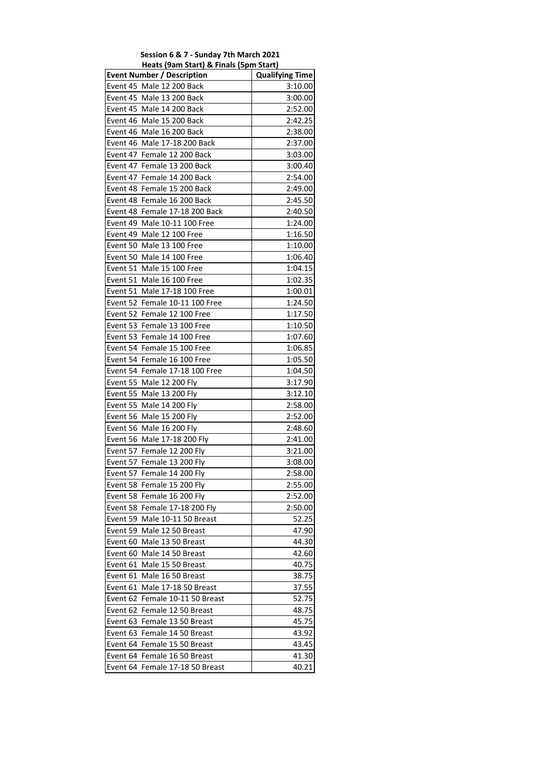| Session 6 & 7 - Sunday 7th March 2021  |
|----------------------------------------|
| Heats (9am Start) & Finals (5pm Start) |

| <b>Event Number / Description</b> | <b>Qualifying Time</b> |
|-----------------------------------|------------------------|
| Event 45 Male 12 200 Back         | 3:10.00                |
| Event 45 Male 13 200 Back         | 3:00.00                |
| Event 45 Male 14 200 Back         | 2:52.00                |
| Event 46 Male 15 200 Back         | 2:42.25                |
| Event 46 Male 16 200 Back         | 2:38.00                |
| Event 46 Male 17-18 200 Back      | 2:37.00                |
| Event 47 Female 12 200 Back       | 3:03.00                |
| Event 47 Female 13 200 Back       | 3:00.40                |
| Event 47 Female 14 200 Back       | 2:54.00                |
| Event 48 Female 15 200 Back       | 2:49.00                |
| Event 48 Female 16 200 Back       | 2:45.50                |
| Event 48 Female 17-18 200 Back    | 2:40.50                |
| Event 49 Male 10-11 100 Free      | 1:24.00                |
| Event 49 Male 12 100 Free         | 1:16.50                |
| Event 50 Male 13 100 Free         | 1:10.00                |
| Event 50 Male 14 100 Free         | 1:06.40                |
| Event 51 Male 15 100 Free         | 1:04.15                |
| Event 51 Male 16 100 Free         | 1:02.35                |
| Event 51 Male 17-18 100 Free      | 1:00.01                |
| Event 52 Female 10-11 100 Free    | 1:24.50                |
| Event 52 Female 12 100 Free       | 1:17.50                |
| Event 53 Female 13 100 Free       | 1:10.50                |
| Event 53 Female 14 100 Free       | 1:07.60                |
| Event 54 Female 15 100 Free       | 1:06.85                |
| Event 54 Female 16 100 Free       | 1:05.50                |
| Event 54 Female 17-18 100 Free    | 1:04.50                |
| Event 55 Male 12 200 Fly          | 3:17.90                |
| Event 55 Male 13 200 Fly          | 3:12.10                |
| Event 55 Male 14 200 Fly          | 2:58.00                |
| Event 56 Male 15 200 Fly          | 2:52.00                |
| Event 56 Male 16 200 Fly          | 2:48.60                |
| Event 56 Male 17-18 200 Fly       | 2:41.00                |
| Event 57 Female 12 200 Fly        | 3:21.00                |
| Event 57 Female 13 200 Fly        | 3:08.00                |
| Event 57 Female 14 200 Fly        | 2:58.00                |
| Event 58 Female 15 200 Fly        | 2:55.00                |
| Event 58 Female 16 200 Fly        | 2:52.00                |
| Event 58 Female 17-18 200 Fly     | 2:50.00                |
| Event 59 Male 10-11 50 Breast     | 52.25                  |
| Event 59 Male 12 50 Breast        | 47.90                  |
| Event 60 Male 13 50 Breast        | 44.30                  |
| Event 60 Male 14 50 Breast        | 42.60                  |
| Event 61 Male 15 50 Breast        | 40.75                  |
| Event 61 Male 16 50 Breast        | 38.75                  |
| Event 61 Male 17-18 50 Breast     | 37.55                  |
| Event 62 Female 10-11 50 Breast   | 52.75                  |
| Event 62 Female 12 50 Breast      | 48.75                  |
| Event 63 Female 13 50 Breast      | 45.75                  |
| Event 63 Female 14 50 Breast      | 43.92                  |
| Event 64 Female 15 50 Breast      | 43.45                  |
| Event 64 Female 16 50 Breast      | 41.30                  |
| Event 64 Female 17-18 50 Breast   | 40.21                  |